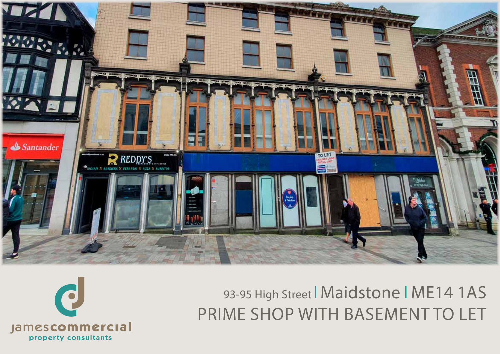



# 93-95 High Street | Maidstone | ME14 1AS PRIME SHOP WITH BASEMENT TO LET